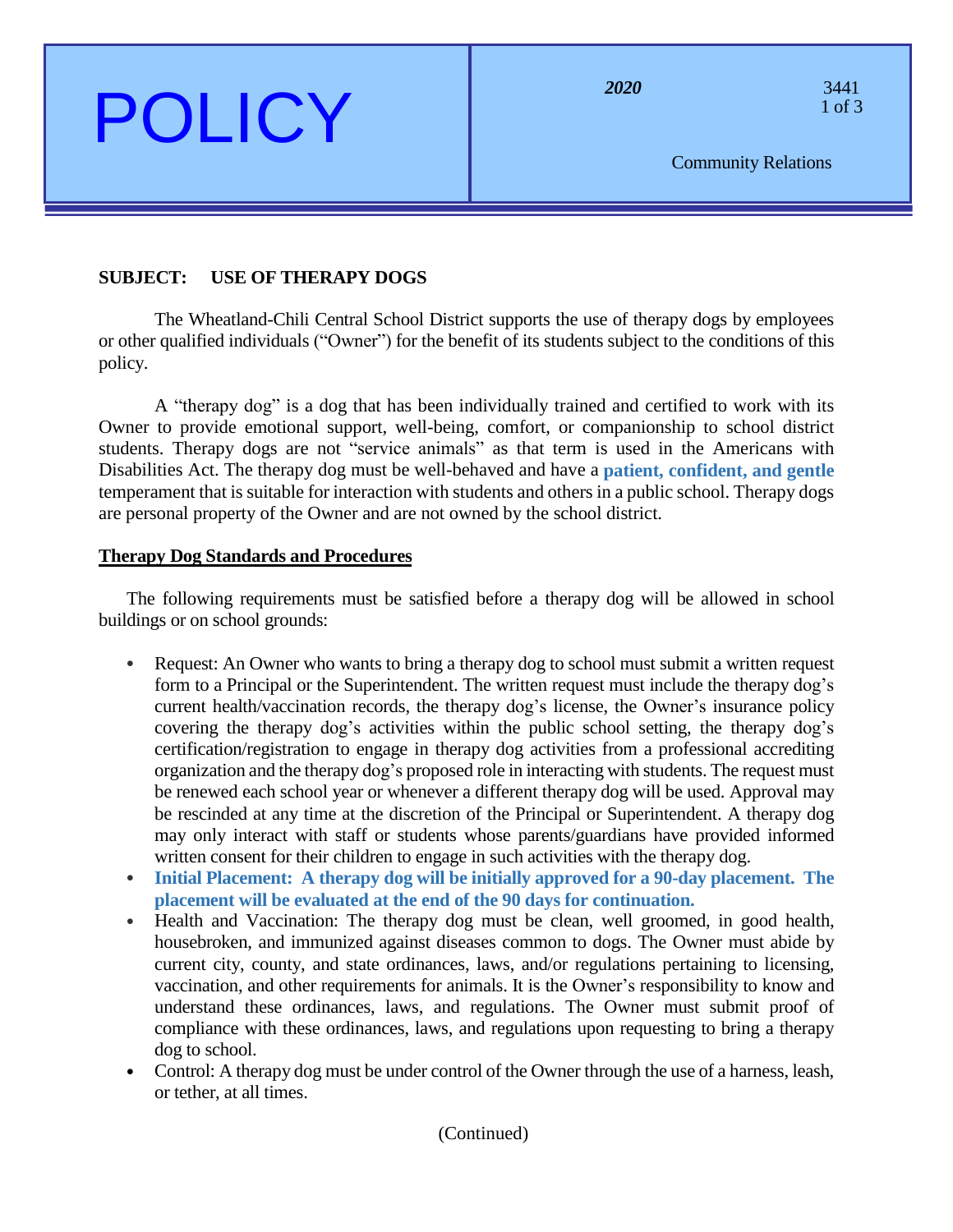# $POLICY$  <sup>2020</sup><sup>2020</sup> <sup>3441</sup>

perations

Community Relations

### **SUBJECT: USE OF THERAPY DOGS**

The Wheatland-Chili Central School District supports the use of therapy dogs by employees or other qualified individuals ("Owner") for the benefit of its students subject to the conditions of this policy.

A "therapy dog" is a dog that has been individually trained and certified to work with its Owner to provide emotional support, well-being, comfort, or companionship to school district students. Therapy dogs are not "service animals" as that term is used in the Americans with Disabilities Act. The therapy dog must be well-behaved and have a **patient, confident, and gentle** temperament that is suitable for interaction with students and others in a public school. Therapy dogs are personal property of the Owner and are not owned by the school district.

#### **Therapy Dog Standards and Procedures**

The following requirements must be satisfied before a therapy dog will be allowed in school buildings or on school grounds:

- Request: An Owner who wants to bring a therapy dog to school must submit a written request form to a Principal or the Superintendent. The written request must include the therapy dog's current health/vaccination records, the therapy dog's license, the Owner's insurance policy covering the therapy dog's activities within the public school setting, the therapy dog's certification/registration to engage in therapy dog activities from a professional accrediting organization and the therapy dog's proposed role in interacting with students. The request must be renewed each school year or whenever a different therapy dog will be used. Approval may be rescinded at any time at the discretion of the Principal or Superintendent. A therapy dog may only interact with staff or students whose parents/guardians have provided informed written consent for their children to engage in such activities with the therapy dog.
- **Initial Placement: A therapy dog will be initially approved for a 90-day placement. The placement will be evaluated at the end of the 90 days for continuation.**
- Health and Vaccination: The therapy dog must be clean, well groomed, in good health, housebroken, and immunized against diseases common to dogs. The Owner must abide by current city, county, and state ordinances, laws, and/or regulations pertaining to licensing, vaccination, and other requirements for animals. It is the Owner's responsibility to know and understand these ordinances, laws, and regulations. The Owner must submit proof of compliance with these ordinances, laws, and regulations upon requesting to bring a therapy dog to school.
- Control: A therapy dog must be under control of the Owner through the use of a harness, leash, or tether, at all times.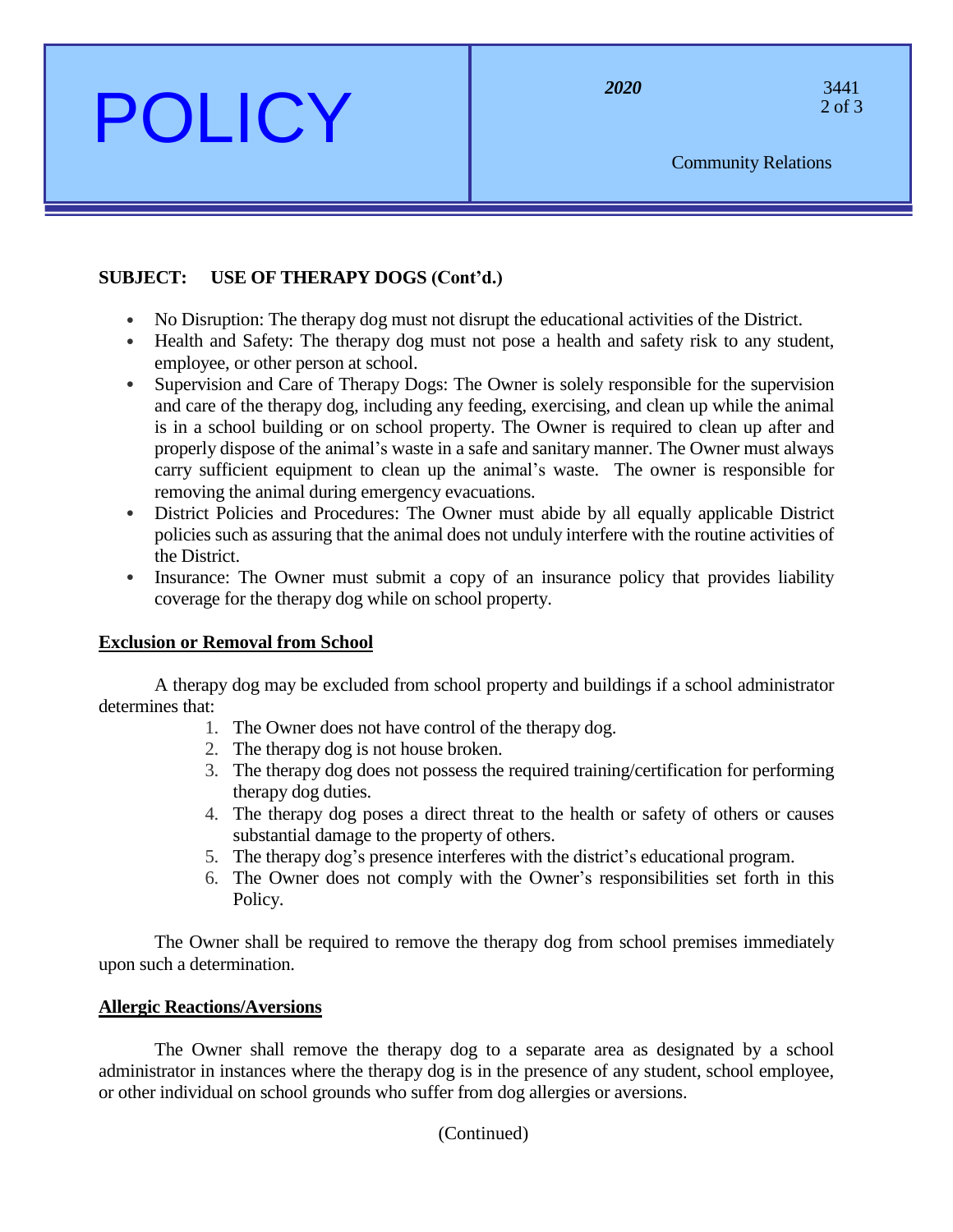# POLICY <sup>2020</sup><sup>2020</sup><sup>3441</sup>

perations

Community Relations

## **SUBJECT: USE OF THERAPY DOGS (Cont'd.)**

- No Disruption: The therapy dog must not disrupt the educational activities of the District.
- Health and Safety: The therapy dog must not pose a health and safety risk to any student, employee, or other person at school.
- Supervision and Care of Therapy Dogs: The Owner is solely responsible for the supervision and care of the therapy dog, including any feeding, exercising, and clean up while the animal is in a school building or on school property. The Owner is required to clean up after and properly dispose of the animal's waste in a safe and sanitary manner. The Owner must always carry sufficient equipment to clean up the animal's waste. The owner is responsible for removing the animal during emergency evacuations.
- District Policies and Procedures: The Owner must abide by all equally applicable District policies such as assuring that the animal does not unduly interfere with the routine activities of the District.
- Insurance: The Owner must submit a copy of an insurance policy that provides liability coverage for the therapy dog while on school property.

### **Exclusion or Removal from School**

A therapy dog may be excluded from school property and buildings if a school administrator determines that:

- 1. The Owner does not have control of the therapy dog.
- 2. The therapy dog is not house broken.
- 3. The therapy dog does not possess the required training/certification for performing therapy dog duties.
- 4. The therapy dog poses a direct threat to the health or safety of others or causes substantial damage to the property of others.
- 5. The therapy dog's presence interferes with the district's educational program.
- 6. The Owner does not comply with the Owner's responsibilities set forth in this Policy.

The Owner shall be required to remove the therapy dog from school premises immediately upon such a determination.

### **Allergic Reactions/Aversions**

The Owner shall remove the therapy dog to a separate area as designated by a school administrator in instances where the therapy dog is in the presence of any student, school employee, or other individual on school grounds who suffer from dog allergies or aversions.